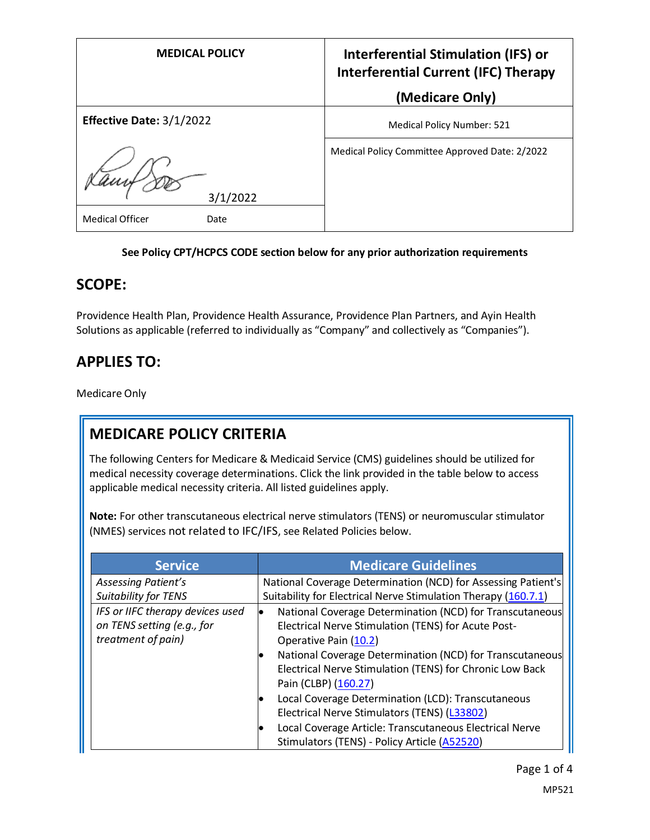| <b>MEDICAL POLICY</b>                      | <b>Interferential Stimulation (IFS) or</b><br><b>Interferential Current (IFC) Therapy</b> |
|--------------------------------------------|-------------------------------------------------------------------------------------------|
|                                            | (Medicare Only)                                                                           |
| Effective Date: 3/1/2022                   | <b>Medical Policy Number: 521</b>                                                         |
| 3/1/2022<br><b>Medical Officer</b><br>Date | Medical Policy Committee Approved Date: 2/2022                                            |

#### **See Policy CPT/HCPCS CODE section below for any prior authorization requirements**

## **SCOPE:**

Providence Health Plan, Providence Health Assurance, Providence Plan Partners, and Ayin Health Solutions as applicable (referred to individually as "Company" and collectively as "Companies").

# **APPLIES TO:**

Medicare Only

# **MEDICARE POLICY CRITERIA**

The following Centers for Medicare & Medicaid Service (CMS) guidelines should be utilized for medical necessity coverage determinations. Click the link provided in the table below to access applicable medical necessity criteria. All listed guidelines apply.

**Note:** For other transcutaneous electrical nerve stimulators (TENS) or neuromuscular stimulator (NMES) services not related to IFC/IFS, see Related Policies below.

| <b>Service</b>                   | <b>Medicare Guidelines</b>                                     |
|----------------------------------|----------------------------------------------------------------|
| Assessing Patient's              | National Coverage Determination (NCD) for Assessing Patient's  |
| <b>Suitability for TENS</b>      | Suitability for Electrical Nerve Stimulation Therapy (160.7.1) |
| IFS or IIFC therapy devices used | National Coverage Determination (NCD) for Transcutaneous       |
| on TENS setting (e.g., for       | Electrical Nerve Stimulation (TENS) for Acute Post-            |
| treatment of pain)               | Operative Pain (10.2)                                          |
|                                  | National Coverage Determination (NCD) for Transcutaneous       |
|                                  | Electrical Nerve Stimulation (TENS) for Chronic Low Back       |
|                                  | Pain (CLBP) (160.27)                                           |
|                                  | Local Coverage Determination (LCD): Transcutaneous             |
|                                  | Electrical Nerve Stimulators (TENS) (L33802)                   |
|                                  | Local Coverage Article: Transcutaneous Electrical Nerve        |
|                                  | Stimulators (TENS) - Policy Article (A52520)                   |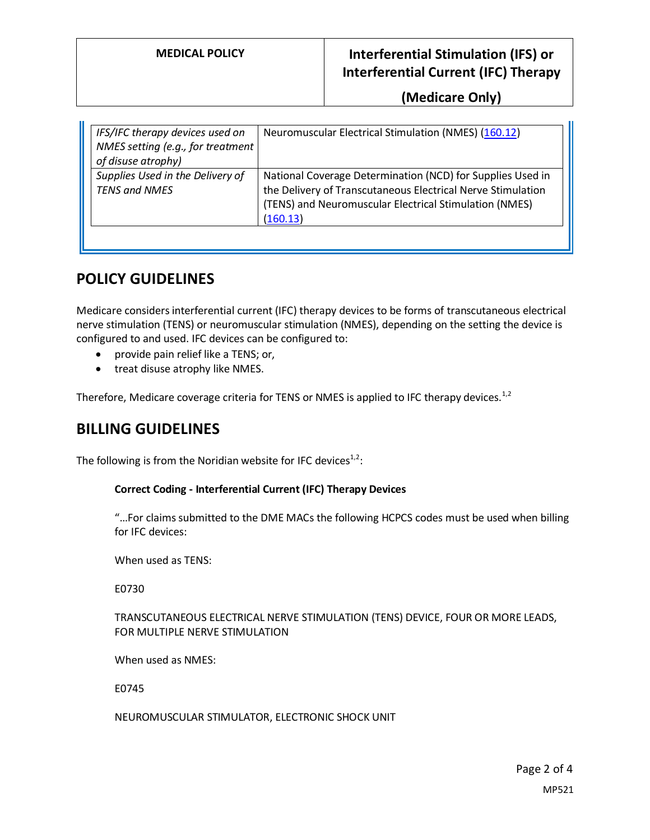## **MEDICAL POLICY Interferential Stimulation (IFS) or Interferential Current (IFC) Therapy**

**(Medicare Only)**

| IFS/IFC therapy devices used on<br>NMES setting (e.g., for treatment<br>of disuse atrophy) | Neuromuscular Electrical Stimulation (NMES) (160.12)                                                                                                                                            |
|--------------------------------------------------------------------------------------------|-------------------------------------------------------------------------------------------------------------------------------------------------------------------------------------------------|
| Supplies Used in the Delivery of<br><b>TENS and NMES</b>                                   | National Coverage Determination (NCD) for Supplies Used in<br>the Delivery of Transcutaneous Electrical Nerve Stimulation<br>(TENS) and Neuromuscular Electrical Stimulation (NMES)<br>(160.13) |

## **POLICY GUIDELINES**

Medicare considers interferential current (IFC) therapy devices to be forms of transcutaneous electrical nerve stimulation (TENS) or neuromuscular stimulation (NMES), depending on the setting the device is configured to and used. IFC devices can be configured to:

- provide pain relief like a TENS; or,
- treat disuse atrophy like NMES.

Therefore, Medicare coverage criteria for TENS or NMES is applied to IFC therapy devices.<sup>1,2</sup>

### **BILLING GUIDELINES**

The following is from the Noridian website for IFC devices $1/2$ :

#### **Correct Coding - Interferential Current (IFC) Therapy Devices**

"…For claims submitted to the DME MACs the following HCPCS codes must be used when billing for IFC devices:

When used as TENS:

E0730

#### TRANSCUTANEOUS ELECTRICAL NERVE STIMULATION (TENS) DEVICE, FOUR OR MORE LEADS, FOR MULTIPLE NERVE STIMULATION

When used as NMES:

E0745

NEUROMUSCULAR STIMULATOR, ELECTRONIC SHOCK UNIT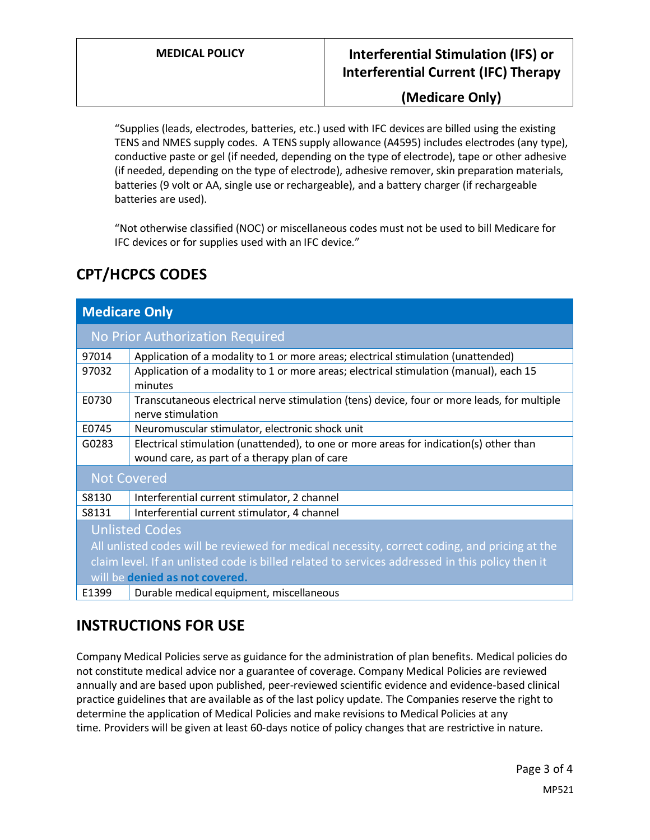## **MEDICAL POLICY Interferential Stimulation (IFS) or Interferential Current (IFC) Therapy**

### **(Medicare Only)**

"Supplies (leads, electrodes, batteries, etc.) used with IFC devices are billed using the existing TENS and NMES supply codes. A TENS supply allowance (A4595) includes electrodes (any type), conductive paste or gel (if needed, depending on the type of electrode), tape or other adhesive (if needed, depending on the type of electrode), adhesive remover, skin preparation materials, batteries (9 volt or AA, single use or rechargeable), and a battery charger (if rechargeable batteries are used).

"Not otherwise classified (NOC) or miscellaneous codes must not be used to bill Medicare for IFC devices or for supplies used with an IFC device."

| <b>CPT/HCPCS CODES</b> |  |
|------------------------|--|
|------------------------|--|

| <b>Medicare Only</b>                                                                            |                                                                                                                                         |  |
|-------------------------------------------------------------------------------------------------|-----------------------------------------------------------------------------------------------------------------------------------------|--|
| No Prior Authorization Required                                                                 |                                                                                                                                         |  |
| 97014                                                                                           | Application of a modality to 1 or more areas; electrical stimulation (unattended)                                                       |  |
| 97032                                                                                           | Application of a modality to 1 or more areas; electrical stimulation (manual), each 15<br>minutes                                       |  |
| E0730                                                                                           | Transcutaneous electrical nerve stimulation (tens) device, four or more leads, for multiple<br>nerve stimulation                        |  |
| E0745                                                                                           | Neuromuscular stimulator, electronic shock unit                                                                                         |  |
| G0283                                                                                           | Electrical stimulation (unattended), to one or more areas for indication(s) other than<br>wound care, as part of a therapy plan of care |  |
| <b>Not Covered</b>                                                                              |                                                                                                                                         |  |
| S8130                                                                                           | Interferential current stimulator, 2 channel                                                                                            |  |
| S8131                                                                                           | Interferential current stimulator, 4 channel                                                                                            |  |
| <b>Unlisted Codes</b>                                                                           |                                                                                                                                         |  |
| All unlisted codes will be reviewed for medical necessity, correct coding, and pricing at the   |                                                                                                                                         |  |
| claim level. If an unlisted code is billed related to services addressed in this policy then it |                                                                                                                                         |  |
| will be denied as not covered.                                                                  |                                                                                                                                         |  |
| E1399                                                                                           | Durable medical equipment, miscellaneous                                                                                                |  |

# **INSTRUCTIONS FOR USE**

Company Medical Policies serve as guidance for the administration of plan benefits. Medical policies do not constitute medical advice nor a guarantee of coverage. Company Medical Policies are reviewed annually and are based upon published, peer-reviewed scientific evidence and evidence-based clinical practice guidelines that are available as of the last policy update. The Companies reserve the right to determine the application of Medical Policies and make revisions to Medical Policies at any time. Providers will be given at least 60-days notice of policy changes that are restrictive in nature.